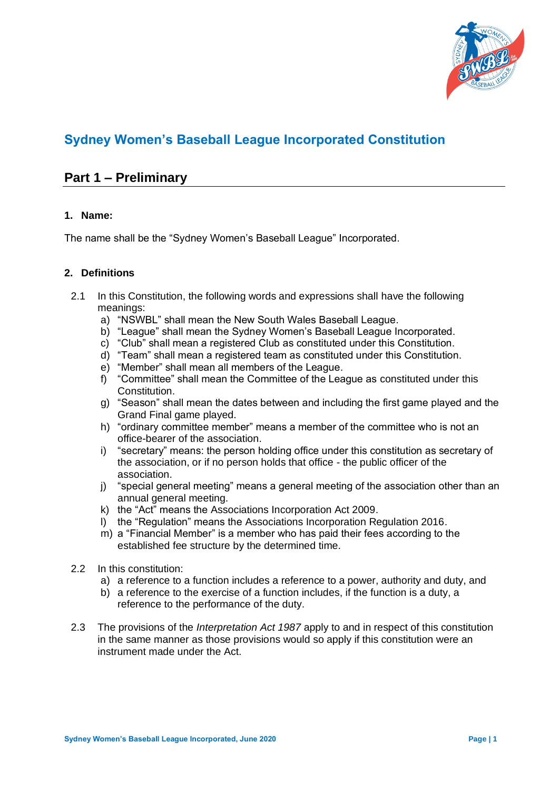

# **Sydney Women's Baseball League Incorporated Constitution**

# **Part 1 – Preliminary**

# **1. Name:**

The name shall be the "Sydney Women's Baseball League" Incorporated.

# **2. Definitions**

- 2.1 In this Constitution, the following words and expressions shall have the following meanings:
	- a) "NSWBL" shall mean the New South Wales Baseball League.
	- b) "League" shall mean the Sydney Women's Baseball League Incorporated.
	- c) "Club" shall mean a registered Club as constituted under this Constitution.
	- d) "Team" shall mean a registered team as constituted under this Constitution.
	- e) "Member" shall mean all members of the League.
	- f) "Committee" shall mean the Committee of the League as constituted under this Constitution.
	- g) "Season" shall mean the dates between and including the first game played and the Grand Final game played.
	- h) "ordinary committee member" means a member of the committee who is not an office-bearer of the association.
	- i) "secretary" means: the person holding office under this constitution as secretary of the association, or if no person holds that office - the public officer of the association.
	- j) "special general meeting" means a general meeting of the association other than an annual general meeting.
	- k) the "Act" means the [Associations Incorporation Act 2009.](http://www.legislation.nsw.gov.au/xref/inforce/?xref=Type%3Dact%20AND%20Year%3D2009%20AND%20no%3D7&nohits=y)
	- l) the "Regulation" means the [Associations Incorporation Regulation 2016.](http://www.legislation.nsw.gov.au/xref/inforce/?xref=Type%3Dsubordleg%20AND%20Year%3D2010%20AND%20No%3D238&nohits=y)
	- m) a "Financial Member" is a member who has paid their fees according to the established fee structure by the determined time.
- 2.2 In this constitution:
	- a) a reference to a function includes a reference to a power, authority and duty, and
	- b) a reference to the exercise of a function includes, if the function is a duty, a reference to the performance of the duty.
- 2.3 The provisions of the *[Interpretation Act 1987](http://www.legislation.nsw.gov.au/xref/inforce/?xref=Type%3Dact%20AND%20Year%3D1987%20AND%20no%3D15&nohits=y)* apply to and in respect of this constitution in the same manner as those provisions would so apply if this constitution were an instrument made under the Act.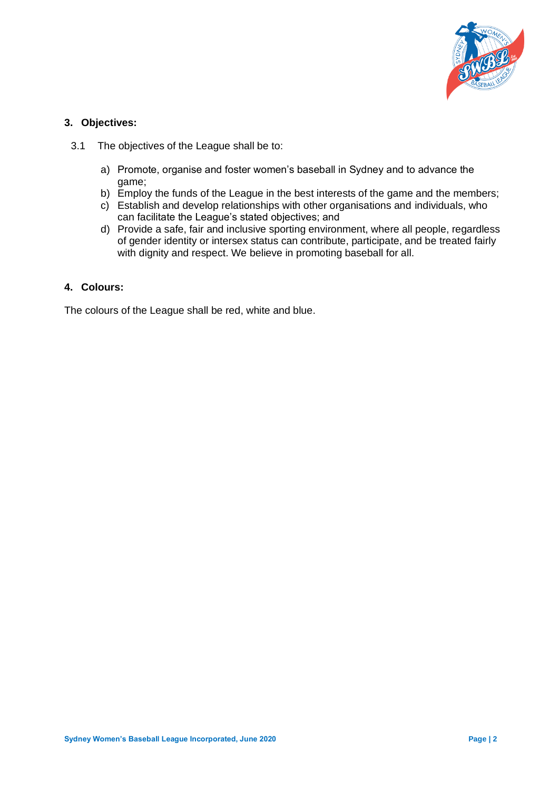

# **3. Objectives:**

- 3.1 The objectives of the League shall be to:
	- a) Promote, organise and foster women's baseball in Sydney and to advance the game;
	- b) Employ the funds of the League in the best interests of the game and the members;
	- c) Establish and develop relationships with other organisations and individuals, who can facilitate the League's stated objectives; and
	- d) Provide a safe, fair and inclusive sporting environment, where all people, regardless of gender identity or intersex status can contribute, participate, and be treated fairly with dignity and respect. We believe in promoting baseball for all.

# **4. Colours:**

The colours of the League shall be red, white and blue.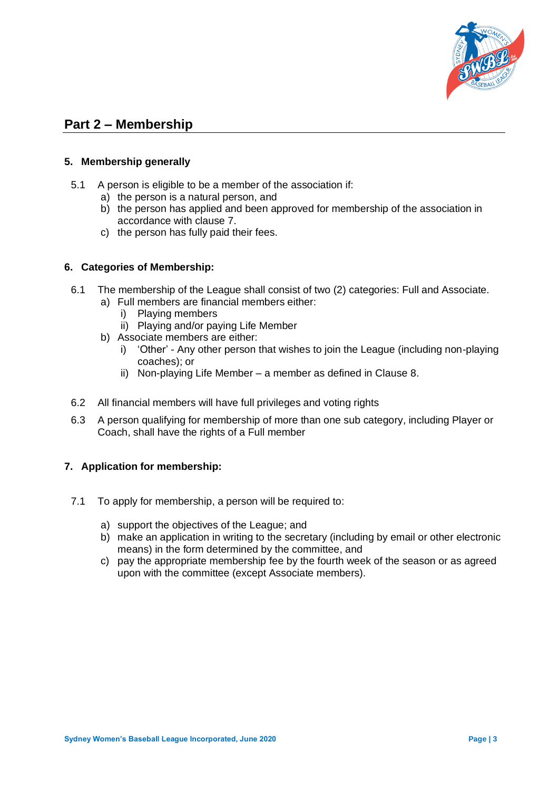

# **Part 2 – Membership**

# **5. Membership generally**

- 5.1 A person is eligible to be a member of the association if:
	- a) the person is a natural person, and
	- b) the person has applied and been approved for membership of the association in accordance with clause 7.
	- c) the person has fully paid their fees.

### **6. Categories of Membership:**

- 6.1 The membership of the League shall consist of two (2) categories: Full and Associate.
	- a) Full members are financial members either:
		- i) Playing members
		- ii) Playing and/or paying Life Member
	- b) Associate members are either:
		- i) 'Other' Any other person that wishes to join the League (including non-playing coaches); or
		- ii) Non-playing Life Member a member as defined in Clause 8.
- 6.2 All financial members will have full privileges and voting rights
- 6.3 A person qualifying for membership of more than one sub category, including Player or Coach, shall have the rights of a Full member

# **7. Application for membership:**

- 7.1 To apply for membership, a person will be required to:
	- a) support the objectives of the League; and
	- b) make an application in writing to the secretary (including by email or other electronic means) in the form determined by the committee, and
	- c) pay the appropriate membership fee by the fourth week of the season or as agreed upon with the committee (except Associate members).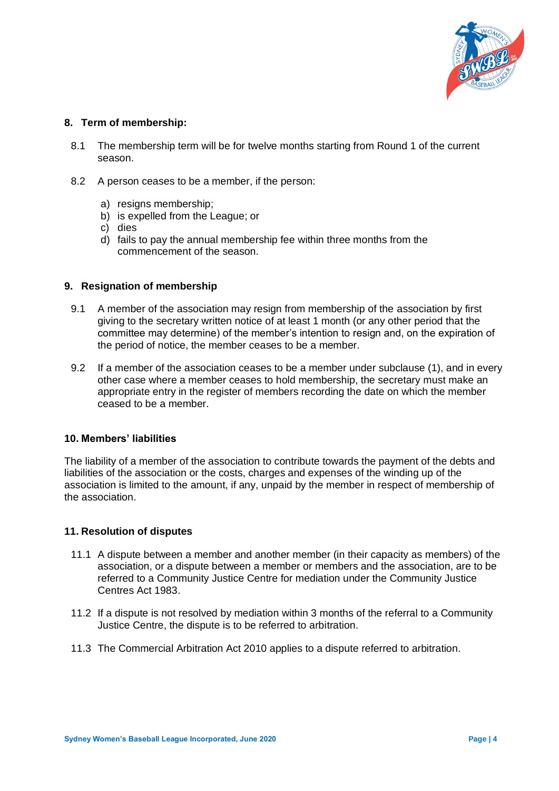

#### **8. Term of membership:**

- 8.1 The membership term will be for twelve months starting from Round 1 of the current season.
- 8.2 A person ceases to be a member, if the person:
	- a) resigns membership;
	- b) is expelled from the League; or
	- c) dies
	- d) fails to pay the annual membership fee within three months from the commencement of the season.

### **9. Resignation of membership**

- 9.1 A member of the association may resign from membership of the association by first giving to the secretary written notice of at least 1 month (or any other period that the committee may determine) of the member's intention to resign and, on the expiration of the period of notice, the member ceases to be a member.
- 9.2 If a member of the association ceases to be a member under subclause (1), and in every other case where a member ceases to hold membership, the secretary must make an appropriate entry in the register of members recording the date on which the member ceased to be a member.

### **10. Members' liabilities**

The liability of a member of the association to contribute towards the payment of the debts and liabilities of the association or the costs, charges and expenses of the winding up of the association is limited to the amount, if any, unpaid by the member in respect of membership of the association.

#### **11. Resolution of disputes**

- 11.1 A dispute between a member and another member (in their capacity as members) of the association, or a dispute between a member or members and the association, are to be referred to a Community Justice Centre for mediation under the Community Justice Centres Act 1983.
- 11.2 If a dispute is not resolved by mediation within 3 months of the referral to a Community Justice Centre, the dispute is to be referred to arbitration.
- 11.3 The Commercial Arbitration Act 2010 applies to a dispute referred to arbitration.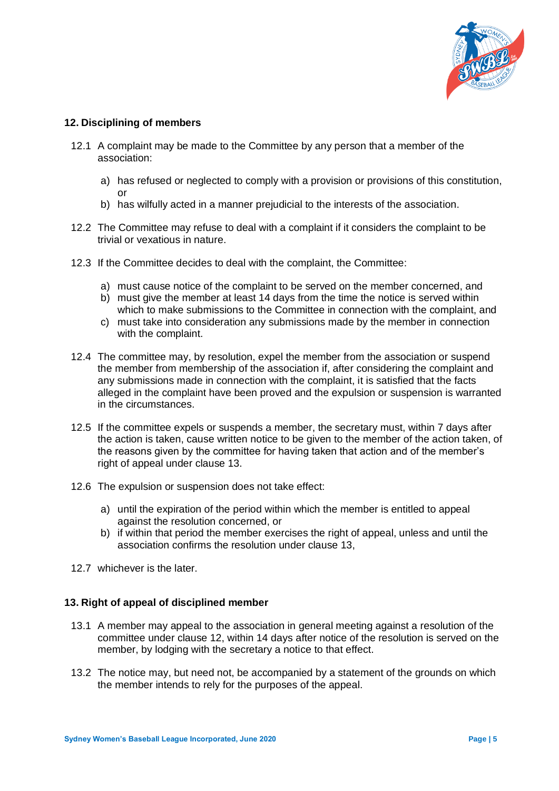

#### **12. Disciplining of members**

- 12.1 A complaint may be made to the Committee by any person that a member of the association:
	- a) has refused or neglected to comply with a provision or provisions of this constitution, or
	- b) has wilfully acted in a manner prejudicial to the interests of the association.
- 12.2 The Committee may refuse to deal with a complaint if it considers the complaint to be trivial or vexatious in nature.
- 12.3 If the Committee decides to deal with the complaint, the Committee:
	- a) must cause notice of the complaint to be served on the member concerned, and
	- b) must give the member at least 14 days from the time the notice is served within which to make submissions to the Committee in connection with the complaint, and
	- c) must take into consideration any submissions made by the member in connection with the complaint.
- 12.4 The committee may, by resolution, expel the member from the association or suspend the member from membership of the association if, after considering the complaint and any submissions made in connection with the complaint, it is satisfied that the facts alleged in the complaint have been proved and the expulsion or suspension is warranted in the circumstances.
- 12.5 If the committee expels or suspends a member, the secretary must, within 7 days after the action is taken, cause written notice to be given to the member of the action taken, of the reasons given by the committee for having taken that action and of the member's right of appeal under clause 13.
- 12.6 The expulsion or suspension does not take effect:
	- a) until the expiration of the period within which the member is entitled to appeal against the resolution concerned, or
	- b) if within that period the member exercises the right of appeal, unless and until the association confirms the resolution under clause 13,
- 12.7 whichever is the later.

#### **13. Right of appeal of disciplined member**

- 13.1 A member may appeal to the association in general meeting against a resolution of the committee under clause 12, within 14 days after notice of the resolution is served on the member, by lodging with the secretary a notice to that effect.
- 13.2 The notice may, but need not, be accompanied by a statement of the grounds on which the member intends to rely for the purposes of the appeal.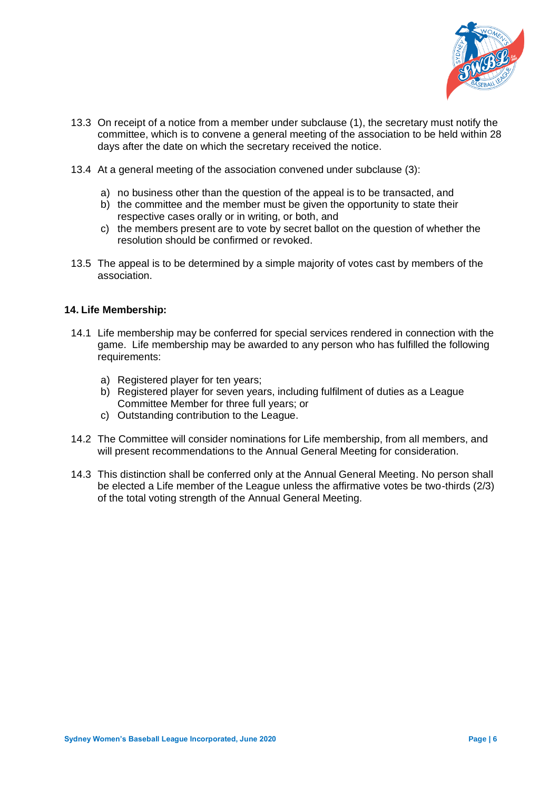

- 13.3 On receipt of a notice from a member under subclause (1), the secretary must notify the committee, which is to convene a general meeting of the association to be held within 28 days after the date on which the secretary received the notice.
- 13.4 At a general meeting of the association convened under subclause (3):
	- a) no business other than the question of the appeal is to be transacted, and
	- b) the committee and the member must be given the opportunity to state their respective cases orally or in writing, or both, and
	- c) the members present are to vote by secret ballot on the question of whether the resolution should be confirmed or revoked.
- 13.5 The appeal is to be determined by a simple majority of votes cast by members of the association.

### **14. Life Membership:**

- 14.1 Life membership may be conferred for special services rendered in connection with the game. Life membership may be awarded to any person who has fulfilled the following requirements:
	- a) Registered player for ten years;
	- b) Registered player for seven years, including fulfilment of duties as a League Committee Member for three full years; or
	- c) Outstanding contribution to the League.
- 14.2 The Committee will consider nominations for Life membership, from all members, and will present recommendations to the Annual General Meeting for consideration.
- 14.3 This distinction shall be conferred only at the Annual General Meeting. No person shall be elected a Life member of the League unless the affirmative votes be two-thirds (2/3) of the total voting strength of the Annual General Meeting.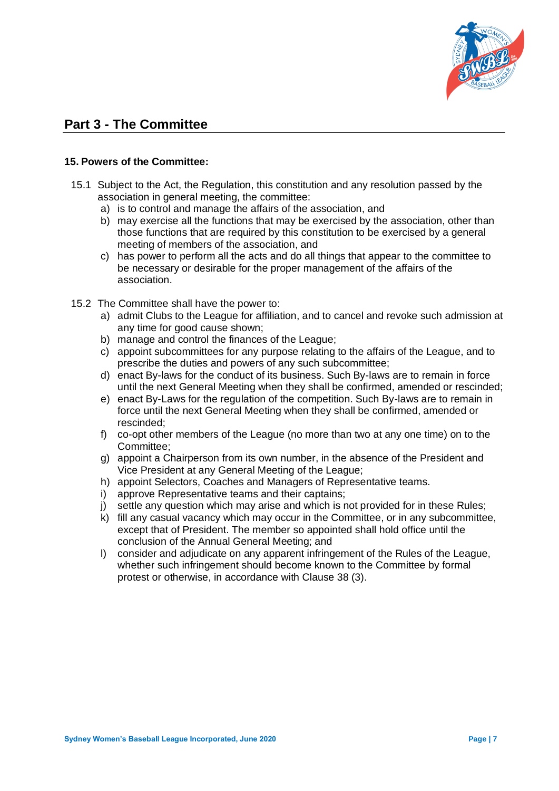

# **Part 3 - The Committee**

### **15. Powers of the Committee:**

- 15.1 Subject to the Act, the Regulation, this constitution and any resolution passed by the association in general meeting, the committee:
	- a) is to control and manage the affairs of the association, and
	- b) may exercise all the functions that may be exercised by the association, other than those functions that are required by this constitution to be exercised by a general meeting of members of the association, and
	- c) has power to perform all the acts and do all things that appear to the committee to be necessary or desirable for the proper management of the affairs of the association.
- 15.2 The Committee shall have the power to:
	- a) admit Clubs to the League for affiliation, and to cancel and revoke such admission at any time for good cause shown:
	- b) manage and control the finances of the League;
	- c) appoint subcommittees for any purpose relating to the affairs of the League, and to prescribe the duties and powers of any such subcommittee;
	- d) enact By-laws for the conduct of its business. Such By-laws are to remain in force until the next General Meeting when they shall be confirmed, amended or rescinded;
	- e) enact By-Laws for the regulation of the competition. Such By-laws are to remain in force until the next General Meeting when they shall be confirmed, amended or rescinded;
	- f) co-opt other members of the League (no more than two at any one time) on to the Committee;
	- g) appoint a Chairperson from its own number, in the absence of the President and Vice President at any General Meeting of the League;
	- h) appoint Selectors, Coaches and Managers of Representative teams.
	- i) approve Representative teams and their captains;
	- j) settle any question which may arise and which is not provided for in these Rules;
	- k) fill any casual vacancy which may occur in the Committee, or in any subcommittee, except that of President. The member so appointed shall hold office until the conclusion of the Annual General Meeting; and
	- l) consider and adjudicate on any apparent infringement of the Rules of the League, whether such infringement should become known to the Committee by formal protest or otherwise, in accordance with Clause 38 (3).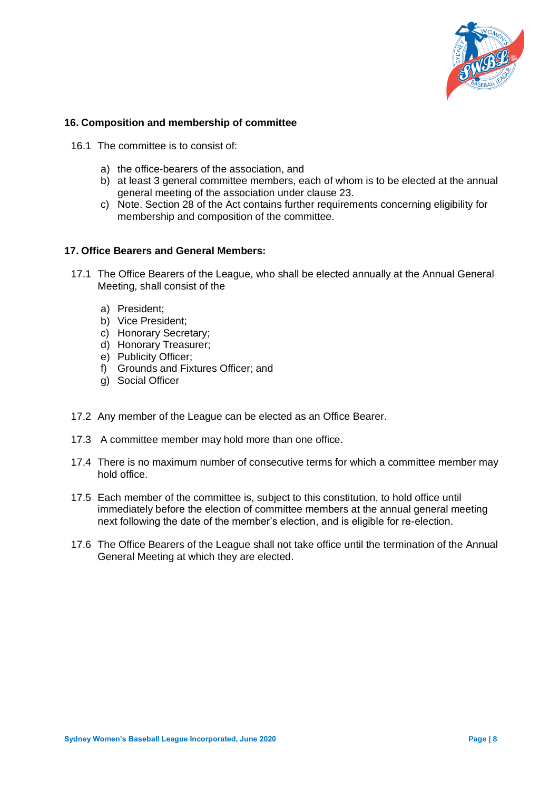

### **16. Composition and membership of committee**

- 16.1 The committee is to consist of:
	- a) the office-bearers of the association, and
	- b) at least 3 general committee members, each of whom is to be elected at the annual general meeting of the association under clause 23.
	- c) Note. Section 28 of the Act contains further requirements concerning eligibility for membership and composition of the committee.

#### **17. Office Bearers and General Members:**

- 17.1 The Office Bearers of the League, who shall be elected annually at the Annual General Meeting, shall consist of the
	- a) President;
	- b) Vice President;
	- c) Honorary Secretary;
	- d) Honorary Treasurer;
	- e) Publicity Officer;
	- f) Grounds and Fixtures Officer; and
	- g) Social Officer
- 17.2 Any member of the League can be elected as an Office Bearer.
- 17.3 A committee member may hold more than one office.
- 17.4 There is no maximum number of consecutive terms for which a committee member may hold office.
- 17.5 Each member of the committee is, subject to this constitution, to hold office until immediately before the election of committee members at the annual general meeting next following the date of the member's election, and is eligible for re-election.
- 17.6 The Office Bearers of the League shall not take office until the termination of the Annual General Meeting at which they are elected.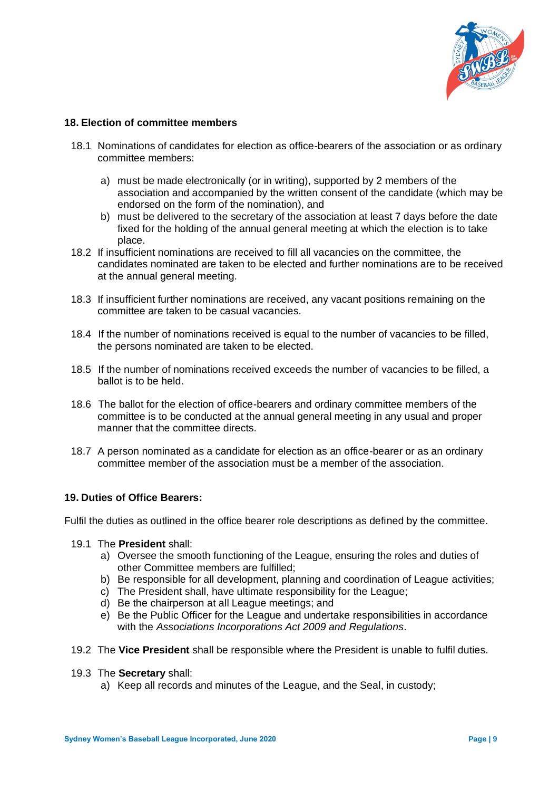

# **18. Election of committee members**

- 18.1 Nominations of candidates for election as office-bearers of the association or as ordinary committee members:
	- a) must be made electronically (or in writing), supported by 2 members of the association and accompanied by the written consent of the candidate (which may be endorsed on the form of the nomination), and
	- b) must be delivered to the secretary of the association at least 7 days before the date fixed for the holding of the annual general meeting at which the election is to take place.
- 18.2 If insufficient nominations are received to fill all vacancies on the committee, the candidates nominated are taken to be elected and further nominations are to be received at the annual general meeting.
- 18.3 If insufficient further nominations are received, any vacant positions remaining on the committee are taken to be casual vacancies.
- 18.4 If the number of nominations received is equal to the number of vacancies to be filled, the persons nominated are taken to be elected.
- 18.5 If the number of nominations received exceeds the number of vacancies to be filled, a ballot is to be held.
- 18.6 The ballot for the election of office-bearers and ordinary committee members of the committee is to be conducted at the annual general meeting in any usual and proper manner that the committee directs.
- 18.7 A person nominated as a candidate for election as an office-bearer or as an ordinary committee member of the association must be a member of the association.

#### **19. Duties of Office Bearers:**

Fulfil the duties as outlined in the office bearer role descriptions as defined by the committee.

- 19.1 The **President** shall:
	- a) Oversee the smooth functioning of the League, ensuring the roles and duties of other Committee members are fulfilled;
	- b) Be responsible for all development, planning and coordination of League activities;
	- c) The President shall, have ultimate responsibility for the League;
	- d) Be the chairperson at all League meetings; and
	- e) Be the Public Officer for the League and undertake responsibilities in accordance with the *Associations Incorporations Act 2009 and Regulations*.
- 19.2 The **Vice President** shall be responsible where the President is unable to fulfil duties.
- 19.3 The **Secretary** shall:
	- a) Keep all records and minutes of the League, and the Seal, in custody;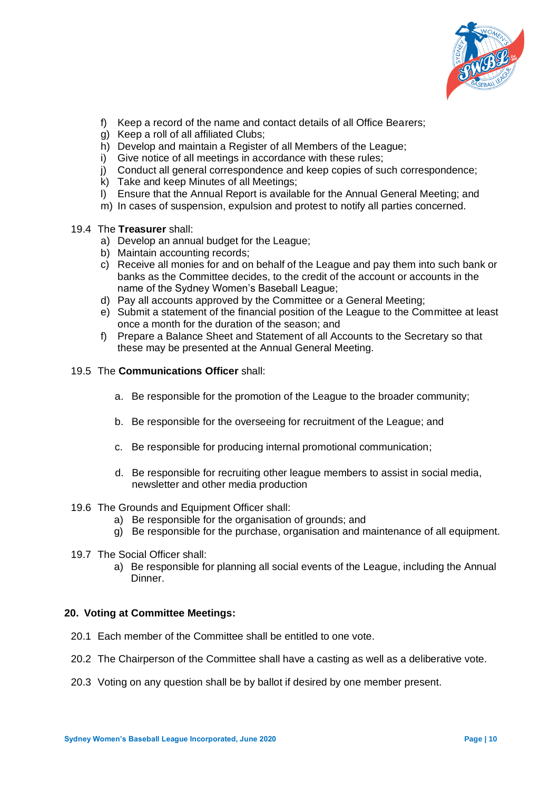

- f) Keep a record of the name and contact details of all Office Bearers;
- g) Keep a roll of all affiliated Clubs;
- h) Develop and maintain a Register of all Members of the League;
- i) Give notice of all meetings in accordance with these rules;
- j) Conduct all general correspondence and keep copies of such correspondence;
- k) Take and keep Minutes of all Meetings;
- l) Ensure that the Annual Report is available for the Annual General Meeting; and
- m) In cases of suspension, expulsion and protest to notify all parties concerned.
- 19.4 The **Treasurer** shall:
	- a) Develop an annual budget for the League;
	- b) Maintain accounting records;
	- c) Receive all monies for and on behalf of the League and pay them into such bank or banks as the Committee decides, to the credit of the account or accounts in the name of the Sydney Women's Baseball League;
	- d) Pay all accounts approved by the Committee or a General Meeting;
	- e) Submit a statement of the financial position of the League to the Committee at least once a month for the duration of the season; and
	- f) Prepare a Balance Sheet and Statement of all Accounts to the Secretary so that these may be presented at the Annual General Meeting.

#### 19.5 The **Communications Officer** shall:

- a. Be responsible for the promotion of the League to the broader community;
- b. Be responsible for the overseeing for recruitment of the League; and
- c. Be responsible for producing internal promotional communication;
- d. Be responsible for recruiting other league members to assist in social media, newsletter and other media production
- 19.6 The Grounds and Equipment Officer shall:
	- a) Be responsible for the organisation of grounds; and
	- g) Be responsible for the purchase, organisation and maintenance of all equipment.
- 19.7 The Social Officer shall:
	- a) Be responsible for planning all social events of the League, including the Annual **Dinner**

#### **20. Voting at Committee Meetings:**

- 20.1 Each member of the Committee shall be entitled to one vote.
- 20.2 The Chairperson of the Committee shall have a casting as well as a deliberative vote.
- 20.3 Voting on any question shall be by ballot if desired by one member present.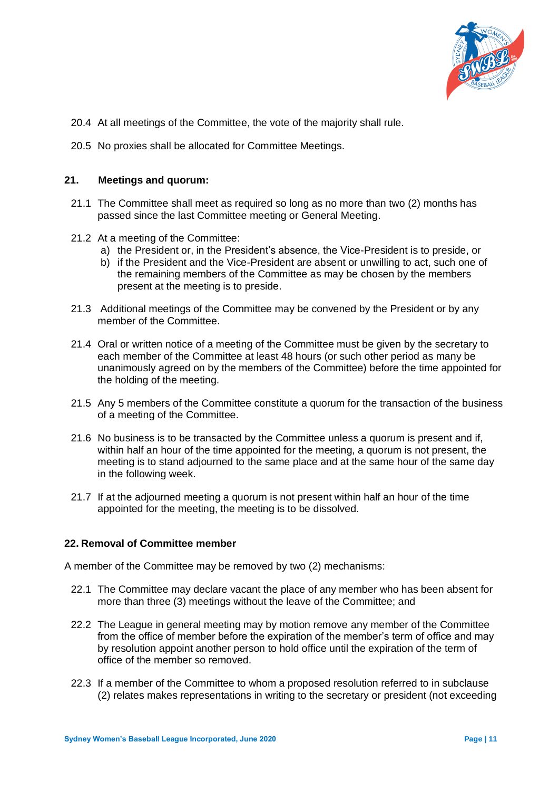

- 20.4 At all meetings of the Committee, the vote of the majority shall rule.
- 20.5 No proxies shall be allocated for Committee Meetings.

### **21. Meetings and quorum:**

- 21.1 The Committee shall meet as required so long as no more than two (2) months has passed since the last Committee meeting or General Meeting.
- 21.2 At a meeting of the Committee:
	- a) the President or, in the President's absence, the Vice-President is to preside, or
	- b) if the President and the Vice-President are absent or unwilling to act, such one of the remaining members of the Committee as may be chosen by the members present at the meeting is to preside.
- 21.3 Additional meetings of the Committee may be convened by the President or by any member of the Committee.
- 21.4 Oral or written notice of a meeting of the Committee must be given by the secretary to each member of the Committee at least 48 hours (or such other period as many be unanimously agreed on by the members of the Committee) before the time appointed for the holding of the meeting.
- 21.5 Any 5 members of the Committee constitute a quorum for the transaction of the business of a meeting of the Committee.
- 21.6 No business is to be transacted by the Committee unless a quorum is present and if, within half an hour of the time appointed for the meeting, a quorum is not present, the meeting is to stand adjourned to the same place and at the same hour of the same day in the following week.
- 21.7 If at the adjourned meeting a quorum is not present within half an hour of the time appointed for the meeting, the meeting is to be dissolved.

# **22. Removal of Committee member**

A member of the Committee may be removed by two (2) mechanisms:

- 22.1 The Committee may declare vacant the place of any member who has been absent for more than three (3) meetings without the leave of the Committee; and
- 22.2 The League in general meeting may by motion remove any member of the Committee from the office of member before the expiration of the member's term of office and may by resolution appoint another person to hold office until the expiration of the term of office of the member so removed.
- 22.3 If a member of the Committee to whom a proposed resolution referred to in subclause (2) relates makes representations in writing to the secretary or president (not exceeding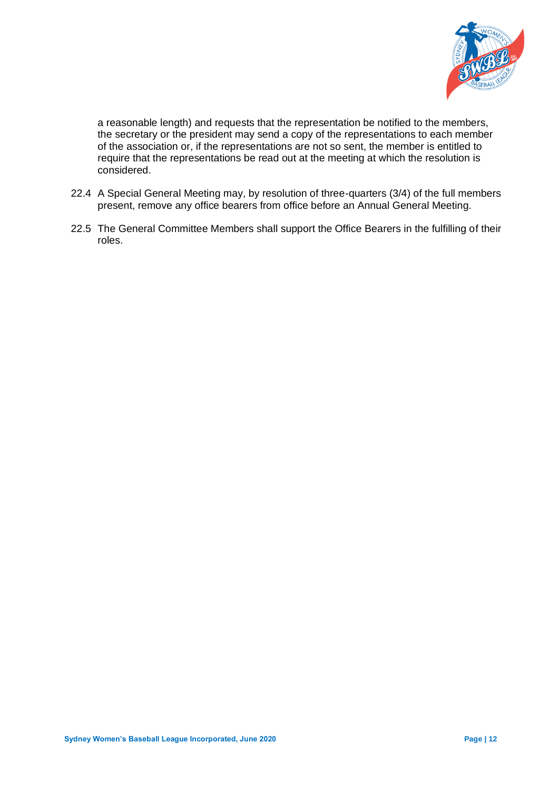

a reasonable length) and requests that the representation be notified to the members, the secretary or the president may send a copy of the representations to each member of the association or, if the representations are not so sent, the member is entitled to require that the representations be read out at the meeting at which the resolution is considered.

- 22.4 A Special General Meeting may, by resolution of three-quarters (3/4) of the full members present, remove any office bearers from office before an Annual General Meeting.
- 22.5 The General Committee Members shall support the Office Bearers in the fulfilling of their roles.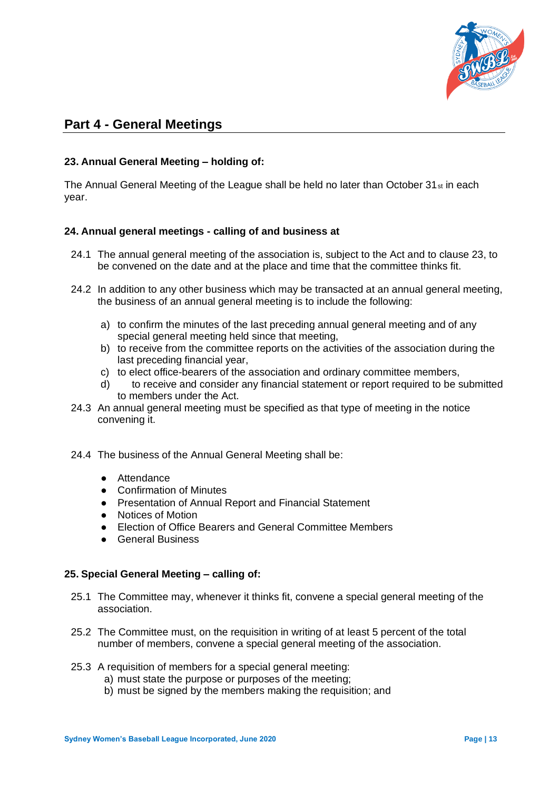

# **Part 4 - General Meetings**

# **23. Annual General Meeting – holding of:**

The Annual General Meeting of the League shall be held no later than October  $31_{st}$  in each year.

### **24. Annual general meetings - calling of and business at**

- 24.1 The annual general meeting of the association is, subject to the Act and to clause 23, to be convened on the date and at the place and time that the committee thinks fit.
- 24.2 In addition to any other business which may be transacted at an annual general meeting, the business of an annual general meeting is to include the following:
	- a) to confirm the minutes of the last preceding annual general meeting and of any special general meeting held since that meeting,
	- b) to receive from the committee reports on the activities of the association during the last preceding financial year,
	- c) to elect office-bearers of the association and ordinary committee members,
	- d) to receive and consider any financial statement or report required to be submitted to members under the Act.
- 24.3 An annual general meeting must be specified as that type of meeting in the notice convening it.
- 24.4 The business of the Annual General Meeting shall be:
	- Attendance
	- Confirmation of Minutes
	- Presentation of Annual Report and Financial Statement
	- Notices of Motion
	- Election of Office Bearers and General Committee Members
	- General Business

#### **25. Special General Meeting – calling of:**

- 25.1 The Committee may, whenever it thinks fit, convene a special general meeting of the association.
- 25.2 The Committee must, on the requisition in writing of at least 5 percent of the total number of members, convene a special general meeting of the association.
- 25.3 A requisition of members for a special general meeting:
	- a) must state the purpose or purposes of the meeting;
	- b) must be signed by the members making the requisition; and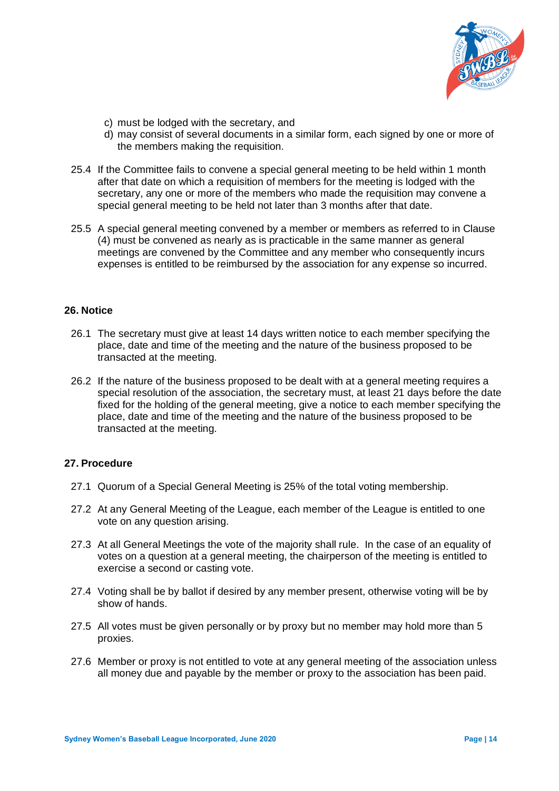

- c) must be lodged with the secretary, and
- d) may consist of several documents in a similar form, each signed by one or more of the members making the requisition.
- 25.4 If the Committee fails to convene a special general meeting to be held within 1 month after that date on which a requisition of members for the meeting is lodged with the secretary, any one or more of the members who made the requisition may convene a special general meeting to be held not later than 3 months after that date.
- 25.5 A special general meeting convened by a member or members as referred to in Clause (4) must be convened as nearly as is practicable in the same manner as general meetings are convened by the Committee and any member who consequently incurs expenses is entitled to be reimbursed by the association for any expense so incurred.

# **26. Notice**

- 26.1 The secretary must give at least 14 days written notice to each member specifying the place, date and time of the meeting and the nature of the business proposed to be transacted at the meeting.
- 26.2 If the nature of the business proposed to be dealt with at a general meeting requires a special resolution of the association, the secretary must, at least 21 days before the date fixed for the holding of the general meeting, give a notice to each member specifying the place, date and time of the meeting and the nature of the business proposed to be transacted at the meeting.

# **27. Procedure**

- 27.1 Quorum of a Special General Meeting is 25% of the total voting membership.
- 27.2 At any General Meeting of the League, each member of the League is entitled to one vote on any question arising.
- 27.3 At all General Meetings the vote of the majority shall rule. In the case of an equality of votes on a question at a general meeting, the chairperson of the meeting is entitled to exercise a second or casting vote.
- 27.4 Voting shall be by ballot if desired by any member present, otherwise voting will be by show of hands.
- 27.5 All votes must be given personally or by proxy but no member may hold more than 5 proxies.
- 27.6 Member or proxy is not entitled to vote at any general meeting of the association unless all money due and payable by the member or proxy to the association has been paid.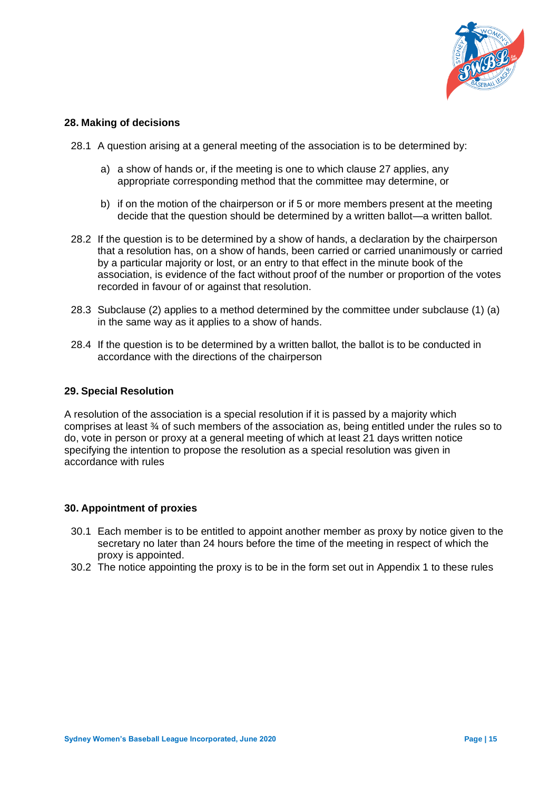

#### **28. Making of decisions**

- 28.1 A question arising at a general meeting of the association is to be determined by:
	- a) a show of hands or, if the meeting is one to which clause 27 applies, any appropriate corresponding method that the committee may determine, or
	- b) if on the motion of the chairperson or if 5 or more members present at the meeting decide that the question should be determined by a written ballot—a written ballot.
- 28.2 If the question is to be determined by a show of hands, a declaration by the chairperson that a resolution has, on a show of hands, been carried or carried unanimously or carried by a particular majority or lost, or an entry to that effect in the minute book of the association, is evidence of the fact without proof of the number or proportion of the votes recorded in favour of or against that resolution.
- 28.3 Subclause (2) applies to a method determined by the committee under subclause (1) (a) in the same way as it applies to a show of hands.
- 28.4 If the question is to be determined by a written ballot, the ballot is to be conducted in accordance with the directions of the chairperson

#### **29. Special Resolution**

A resolution of the association is a special resolution if it is passed by a majority which comprises at least ¾ of such members of the association as, being entitled under the rules so to do, vote in person or proxy at a general meeting of which at least 21 days written notice specifying the intention to propose the resolution as a special resolution was given in accordance with rules

# **30. Appointment of proxies**

- 30.1 Each member is to be entitled to appoint another member as proxy by notice given to the secretary no later than 24 hours before the time of the meeting in respect of which the proxy is appointed.
- 30.2 The notice appointing the proxy is to be in the form set out in Appendix 1 to these rules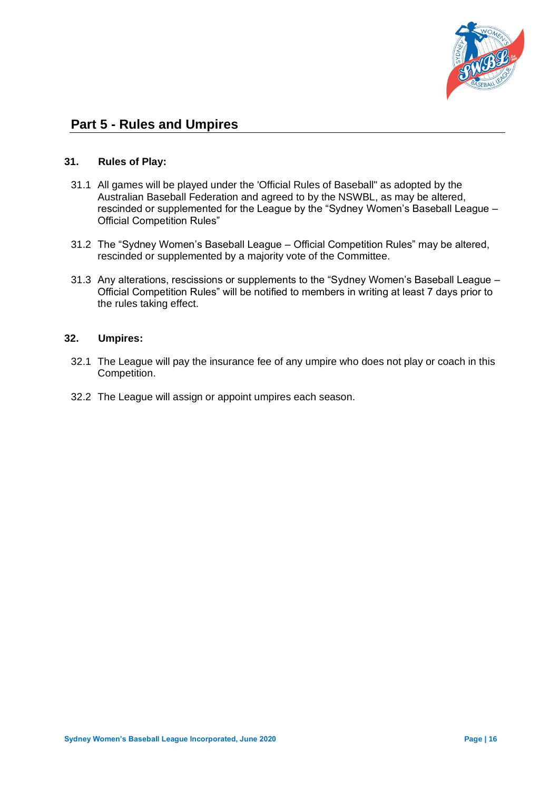

# **Part 5 - Rules and Umpires**

### **31. Rules of Play:**

- 31.1 All games will be played under the 'Official Rules of Baseball" as adopted by the Australian Baseball Federation and agreed to by the NSWBL, as may be altered, rescinded or supplemented for the League by the "Sydney Women's Baseball League – Official Competition Rules"
- 31.2 The "Sydney Women's Baseball League Official Competition Rules" may be altered, rescinded or supplemented by a majority vote of the Committee.
- 31.3 Any alterations, rescissions or supplements to the "Sydney Women's Baseball League Official Competition Rules" will be notified to members in writing at least 7 days prior to the rules taking effect.

#### **32. Umpires:**

- 32.1 The League will pay the insurance fee of any umpire who does not play or coach in this Competition.
- 32.2 The League will assign or appoint umpires each season.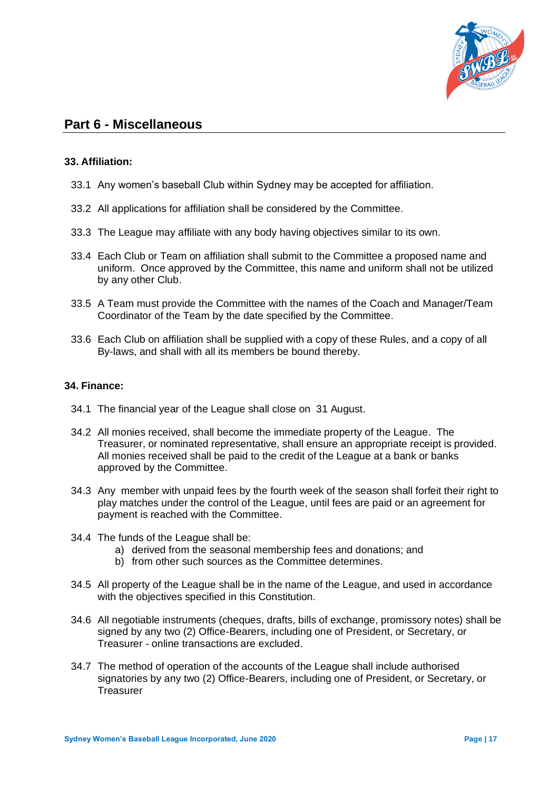

# **Part 6 - Miscellaneous**

# **33. Affiliation:**

- 33.1 Any women's baseball Club within Sydney may be accepted for affiliation.
- 33.2 All applications for affiliation shall be considered by the Committee.
- 33.3 The League may affiliate with any body having objectives similar to its own.
- 33.4 Each Club or Team on affiliation shall submit to the Committee a proposed name and uniform. Once approved by the Committee, this name and uniform shall not be utilized by any other Club.
- 33.5 A Team must provide the Committee with the names of the Coach and Manager/Team Coordinator of the Team by the date specified by the Committee.
- 33.6 Each Club on affiliation shall be supplied with a copy of these Rules, and a copy of all By-laws, and shall with all its members be bound thereby.

# **34. Finance:**

- 34.1 The financial year of the League shall close on 31 August.
- 34.2 All monies received, shall become the immediate property of the League. The Treasurer, or nominated representative, shall ensure an appropriate receipt is provided. All monies received shall be paid to the credit of the League at a bank or banks approved by the Committee.
- 34.3 Any member with unpaid fees by the fourth week of the season shall forfeit their right to play matches under the control of the League, until fees are paid or an agreement for payment is reached with the Committee.
- 34.4 The funds of the League shall be:
	- a) derived from the seasonal membership fees and donations; and
	- b) from other such sources as the Committee determines.
- 34.5 All property of the League shall be in the name of the League, and used in accordance with the objectives specified in this Constitution.
- 34.6 All negotiable instruments (cheques, drafts, bills of exchange, promissory notes) shall be signed by any two (2) Office-Bearers, including one of President, or Secretary, or Treasurer - online transactions are excluded.
- 34.7 The method of operation of the accounts of the League shall include authorised signatories by any two (2) Office-Bearers, including one of President, or Secretary, or **Treasurer**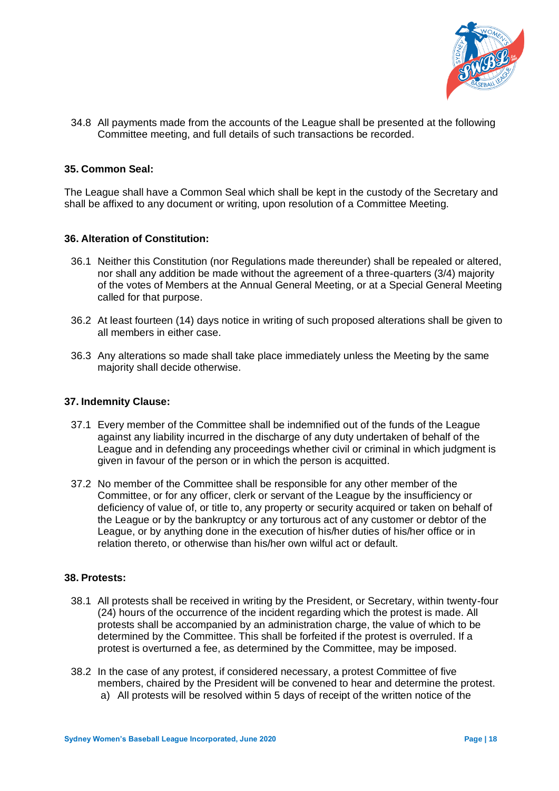

34.8 All payments made from the accounts of the League shall be presented at the following Committee meeting, and full details of such transactions be recorded.

#### **35. Common Seal:**

The League shall have a Common Seal which shall be kept in the custody of the Secretary and shall be affixed to any document or writing, upon resolution of a Committee Meeting.

#### **36. Alteration of Constitution:**

- 36.1 Neither this Constitution (nor Regulations made thereunder) shall be repealed or altered, nor shall any addition be made without the agreement of a three-quarters (3/4) majority of the votes of Members at the Annual General Meeting, or at a Special General Meeting called for that purpose.
- 36.2 At least fourteen (14) days notice in writing of such proposed alterations shall be given to all members in either case.
- 36.3 Any alterations so made shall take place immediately unless the Meeting by the same majority shall decide otherwise.

#### **37. Indemnity Clause:**

- 37.1 Every member of the Committee shall be indemnified out of the funds of the League against any liability incurred in the discharge of any duty undertaken of behalf of the League and in defending any proceedings whether civil or criminal in which judgment is given in favour of the person or in which the person is acquitted.
- 37.2 No member of the Committee shall be responsible for any other member of the Committee, or for any officer, clerk or servant of the League by the insufficiency or deficiency of value of, or title to, any property or security acquired or taken on behalf of the League or by the bankruptcy or any torturous act of any customer or debtor of the League, or by anything done in the execution of his/her duties of his/her office or in relation thereto, or otherwise than his/her own wilful act or default.

#### **38. Protests:**

- 38.1 All protests shall be received in writing by the President, or Secretary, within twenty-four (24) hours of the occurrence of the incident regarding which the protest is made. All protests shall be accompanied by an administration charge, the value of which to be determined by the Committee. This shall be forfeited if the protest is overruled. If a protest is overturned a fee, as determined by the Committee, may be imposed.
- 38.2 In the case of any protest, if considered necessary, a protest Committee of five members, chaired by the President will be convened to hear and determine the protest. a) All protests will be resolved within 5 days of receipt of the written notice of the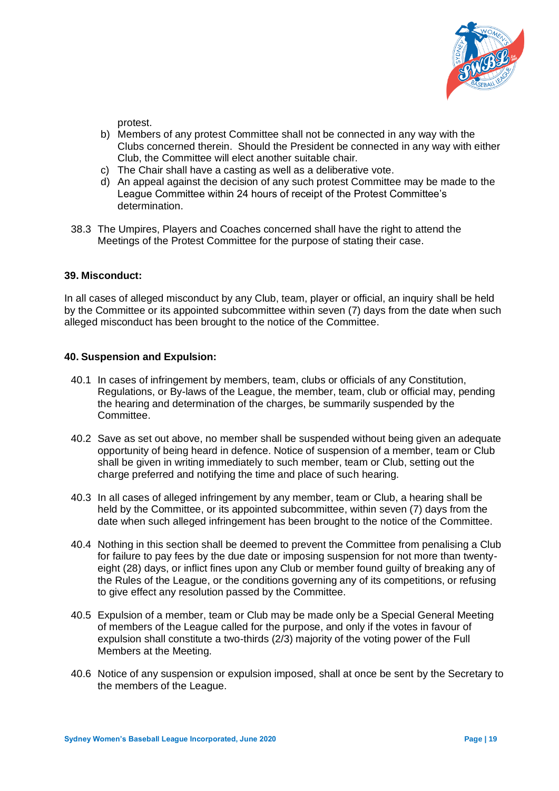

protest.

- b) Members of any protest Committee shall not be connected in any way with the Clubs concerned therein. Should the President be connected in any way with either Club, the Committee will elect another suitable chair.
- c) The Chair shall have a casting as well as a deliberative vote.
- d) An appeal against the decision of any such protest Committee may be made to the League Committee within 24 hours of receipt of the Protest Committee's determination.
- 38.3 The Umpires, Players and Coaches concerned shall have the right to attend the Meetings of the Protest Committee for the purpose of stating their case.

### **39. Misconduct:**

In all cases of alleged misconduct by any Club, team, player or official, an inquiry shall be held by the Committee or its appointed subcommittee within seven (7) days from the date when such alleged misconduct has been brought to the notice of the Committee.

#### **40. Suspension and Expulsion:**

- 40.1 In cases of infringement by members, team, clubs or officials of any Constitution, Regulations, or By-laws of the League, the member, team, club or official may, pending the hearing and determination of the charges, be summarily suspended by the Committee.
- 40.2 Save as set out above, no member shall be suspended without being given an adequate opportunity of being heard in defence. Notice of suspension of a member, team or Club shall be given in writing immediately to such member, team or Club, setting out the charge preferred and notifying the time and place of such hearing.
- 40.3 In all cases of alleged infringement by any member, team or Club, a hearing shall be held by the Committee, or its appointed subcommittee, within seven (7) days from the date when such alleged infringement has been brought to the notice of the Committee.
- 40.4 Nothing in this section shall be deemed to prevent the Committee from penalising a Club for failure to pay fees by the due date or imposing suspension for not more than twentyeight (28) days, or inflict fines upon any Club or member found guilty of breaking any of the Rules of the League, or the conditions governing any of its competitions, or refusing to give effect any resolution passed by the Committee.
- 40.5 Expulsion of a member, team or Club may be made only be a Special General Meeting of members of the League called for the purpose, and only if the votes in favour of expulsion shall constitute a two-thirds (2/3) majority of the voting power of the Full Members at the Meeting.
- 40.6 Notice of any suspension or expulsion imposed, shall at once be sent by the Secretary to the members of the League.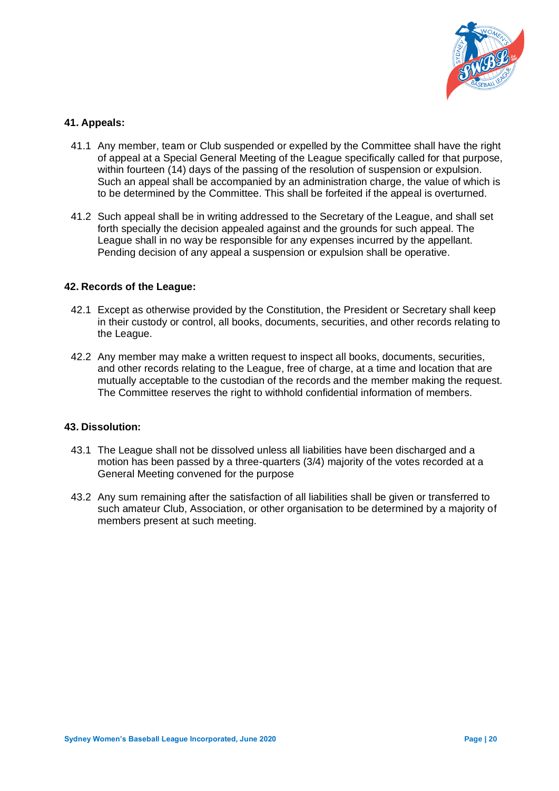

# **41. Appeals:**

- 41.1 Any member, team or Club suspended or expelled by the Committee shall have the right of appeal at a Special General Meeting of the League specifically called for that purpose, within fourteen (14) days of the passing of the resolution of suspension or expulsion. Such an appeal shall be accompanied by an administration charge, the value of which is to be determined by the Committee. This shall be forfeited if the appeal is overturned.
- 41.2 Such appeal shall be in writing addressed to the Secretary of the League, and shall set forth specially the decision appealed against and the grounds for such appeal. The League shall in no way be responsible for any expenses incurred by the appellant. Pending decision of any appeal a suspension or expulsion shall be operative.

#### **42. Records of the League:**

- 42.1 Except as otherwise provided by the Constitution, the President or Secretary shall keep in their custody or control, all books, documents, securities, and other records relating to the League.
- 42.2 Any member may make a written request to inspect all books, documents, securities, and other records relating to the League, free of charge, at a time and location that are mutually acceptable to the custodian of the records and the member making the request. The Committee reserves the right to withhold confidential information of members.

# **43. Dissolution:**

- 43.1 The League shall not be dissolved unless all liabilities have been discharged and a motion has been passed by a three-quarters (3/4) majority of the votes recorded at a General Meeting convened for the purpose
- 43.2 Any sum remaining after the satisfaction of all liabilities shall be given or transferred to such amateur Club, Association, or other organisation to be determined by a majority of members present at such meeting.